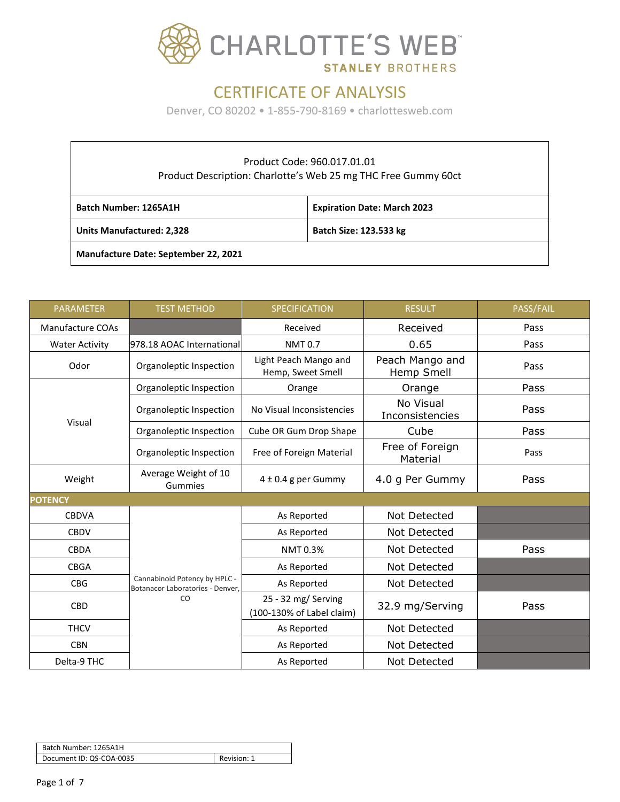

| Product Code: 960.017.01.01<br>Product Description: Charlotte's Web 25 mg THC Free Gummy 60ct |  |  |  |  |
|-----------------------------------------------------------------------------------------------|--|--|--|--|
| Batch Number: 1265A1H<br><b>Expiration Date: March 2023</b>                                   |  |  |  |  |
| Batch Size: 123.533 kg<br><b>Units Manufactured: 2,328</b>                                    |  |  |  |  |
| <b>Manufacture Date: September 22, 2021</b>                                                   |  |  |  |  |

| <b>PARAMETER</b>        | <b>TEST METHOD</b>                                                | <b>SPECIFICATION</b>                             | <b>RESULT</b>                 | PASS/FAIL |
|-------------------------|-------------------------------------------------------------------|--------------------------------------------------|-------------------------------|-----------|
| <b>Manufacture COAs</b> |                                                                   | Received                                         | Received                      | Pass      |
| <b>Water Activity</b>   | 978.18 AOAC International                                         | <b>NMT0.7</b>                                    | 0.65                          | Pass      |
| Odor                    | Organoleptic Inspection                                           | Light Peach Mango and<br>Hemp, Sweet Smell       | Peach Mango and<br>Hemp Smell | Pass      |
|                         | Organoleptic Inspection                                           | Orange                                           | Orange                        | Pass      |
| Visual                  | Organoleptic Inspection                                           | No Visual Inconsistencies                        | No Visual<br>Inconsistencies  | Pass      |
|                         | Organoleptic Inspection                                           | Cube OR Gum Drop Shape                           | Cube                          | Pass      |
|                         | Organoleptic Inspection                                           | Free of Foreign Material                         | Free of Foreign<br>Material   | Pass      |
| Weight                  | Average Weight of 10<br>Gummies                                   | $4 \pm 0.4$ g per Gummy                          | 4.0 g Per Gummy               | Pass      |
| <b>POTENCY</b>          |                                                                   |                                                  |                               |           |
| <b>CBDVA</b>            |                                                                   | As Reported                                      | Not Detected                  |           |
| <b>CBDV</b>             |                                                                   | As Reported                                      | Not Detected                  |           |
| <b>CBDA</b>             |                                                                   | NMT 0.3%                                         | Not Detected                  | Pass      |
| <b>CBGA</b>             |                                                                   | As Reported                                      | <b>Not Detected</b>           |           |
| <b>CBG</b>              | Cannabinoid Potency by HPLC -<br>Botanacor Laboratories - Denver, | As Reported                                      | Not Detected                  |           |
| <b>CBD</b>              | CO                                                                | 25 - 32 mg/ Serving<br>(100-130% of Label claim) | 32.9 mg/Serving               | Pass      |
| <b>THCV</b>             |                                                                   | As Reported                                      | Not Detected                  |           |
| <b>CBN</b>              |                                                                   | As Reported                                      | Not Detected                  |           |
| Delta-9 THC             |                                                                   | As Reported                                      | Not Detected                  |           |

| Batch Number: 1265A1H    |             |
|--------------------------|-------------|
| Document ID: QS-COA-0035 | Revision: 1 |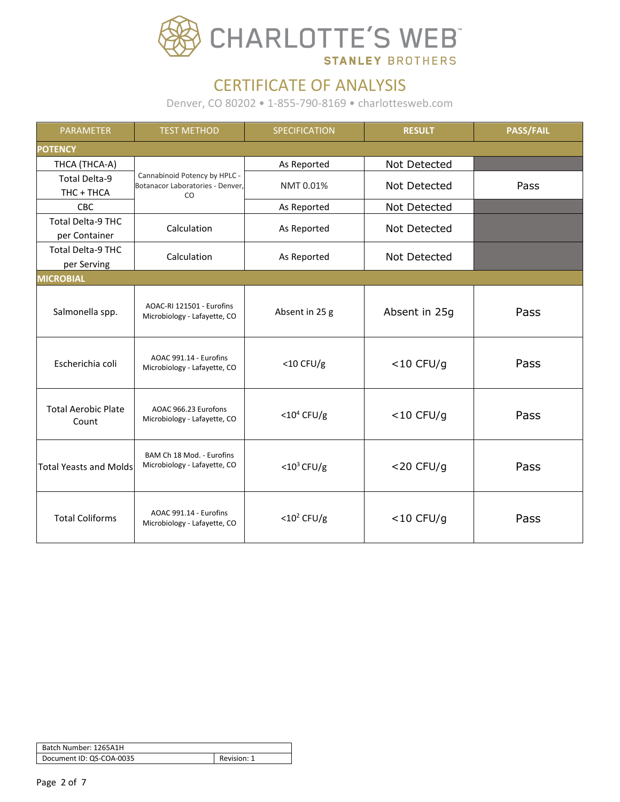

| <b>PARAMETER</b>                          | <b>TEST METHOD</b>                                                      | SPECIFICATION             | <b>RESULT</b> | <b>PASS/FAIL</b> |  |
|-------------------------------------------|-------------------------------------------------------------------------|---------------------------|---------------|------------------|--|
| <b>POTENCY</b>                            |                                                                         |                           |               |                  |  |
| THCA (THCA-A)                             |                                                                         | As Reported               | Not Detected  |                  |  |
| <b>Total Delta-9</b><br>THC + THCA        | Cannabinoid Potency by HPLC -<br>Botanacor Laboratories - Denver,<br>CO | NMT 0.01%                 | Not Detected  | Pass             |  |
| <b>CBC</b>                                |                                                                         | As Reported               | Not Detected  |                  |  |
| <b>Total Delta-9 THC</b><br>per Container | Calculation                                                             | As Reported               | Not Detected  |                  |  |
| <b>Total Delta-9 THC</b><br>per Serving   | Calculation                                                             | As Reported               | Not Detected  |                  |  |
| <b>MICROBIAL</b>                          |                                                                         |                           |               |                  |  |
| Salmonella spp.                           | AOAC-RI 121501 - Eurofins<br>Microbiology - Lafayette, CO               | Absent in 25 g            | Absent in 25g | Pass             |  |
| Escherichia coli                          | AOAC 991.14 - Eurofins<br>Microbiology - Lafayette, CO                  | $<$ 10 CFU/g              | $<$ 10 CFU/g  | Pass             |  |
| <b>Total Aerobic Plate</b><br>Count       | AOAC 966.23 Eurofons<br>Microbiology - Lafayette, CO                    | $<$ 10 <sup>4</sup> CFU/g | $<$ 10 CFU/g  | Pass             |  |
| <b>Total Yeasts and Molds</b>             | BAM Ch 18 Mod. - Eurofins<br>Microbiology - Lafayette, CO               | $<$ 10 <sup>3</sup> CFU/g | $<$ 20 CFU/g  | Pass             |  |
| <b>Total Coliforms</b>                    | AOAC 991.14 - Eurofins<br>Microbiology - Lafayette, CO                  | $<$ 10 <sup>2</sup> CFU/g | $<$ 10 CFU/g  | Pass             |  |

| Batch Number: 1265A1H    |             |
|--------------------------|-------------|
| Document ID: QS-COA-0035 | Revision: 1 |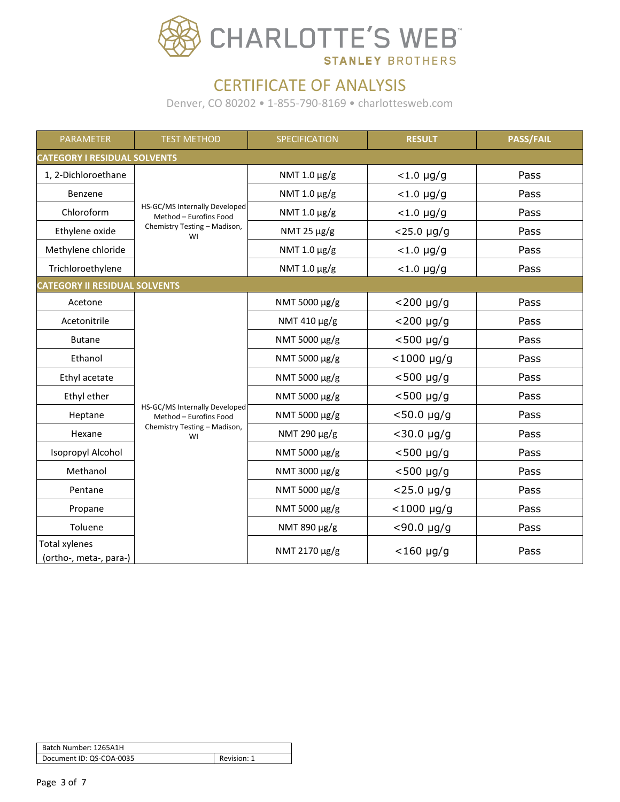

| <b>PARAMETER</b>                               | <b>TEST METHOD</b>                                      | SPECIFICATION    | <b>RESULT</b>         | <b>PASS/FAIL</b> |  |
|------------------------------------------------|---------------------------------------------------------|------------------|-----------------------|------------------|--|
|                                                | <b>CATEGORY I RESIDUAL SOLVENTS</b>                     |                  |                       |                  |  |
| 1, 2-Dichloroethane                            |                                                         | NMT 1.0 μg/g     | $< 1.0 \mu g/g$       | Pass             |  |
| Benzene                                        |                                                         | NMT 1.0 μg/g     | $< 1.0 \mu g/g$       | Pass             |  |
| Chloroform                                     | HS-GC/MS Internally Developed<br>Method - Eurofins Food | NMT 1.0 μg/g     | $< 1.0 \mu g/g$       | Pass             |  |
| Ethylene oxide                                 | Chemistry Testing - Madison,<br>WI                      | NMT 25 $\mu$ g/g | $<$ 25.0 µg/g         | Pass             |  |
| Methylene chloride                             |                                                         | NMT 1.0 μg/g     | $<$ 1.0 µg/g          | Pass             |  |
| Trichloroethylene                              |                                                         | NMT 1.0 μg/g     | $< 1.0 \mu g/g$       | Pass             |  |
| <b>CATEGORY II RESIDUAL SOLVENTS</b>           |                                                         |                  |                       |                  |  |
| Acetone                                        |                                                         | NMT 5000 µg/g    | $<$ 200 µg/g          | Pass             |  |
| Acetonitrile                                   |                                                         | NMT 410 μg/g     | $<$ 200 µg/g          | Pass             |  |
| <b>Butane</b>                                  |                                                         | NMT 5000 µg/g    | $<$ 500 µg/g          | Pass             |  |
| Ethanol                                        |                                                         | NMT 5000 µg/g    | $<$ 1000 µg/g         | Pass             |  |
| Ethyl acetate                                  |                                                         | NMT 5000 µg/g    | $<$ 500 µg/g          | Pass             |  |
| Ethyl ether                                    |                                                         | NMT 5000 µg/g    | $<$ 500 µg/g          | Pass             |  |
| Heptane                                        | HS-GC/MS Internally Developed<br>Method - Eurofins Food | NMT 5000 µg/g    | $< 50.0 \text{ µg/g}$ | Pass             |  |
| Hexane                                         | Chemistry Testing - Madison,<br>WI                      | NMT 290 μg/g     | $<$ 30.0 µg/g         | Pass             |  |
| <b>Isopropyl Alcohol</b>                       |                                                         | NMT 5000 µg/g    | $<$ 500 µg/g          | Pass             |  |
| Methanol                                       |                                                         | NMT 3000 µg/g    | $<$ 500 µg/g          | Pass             |  |
| Pentane                                        |                                                         | NMT 5000 µg/g    | $<$ 25.0 µg/g         | Pass             |  |
| Propane                                        |                                                         | NMT 5000 μg/g    | $<$ 1000 µg/g         | Pass             |  |
| Toluene                                        |                                                         | NMT 890 µg/g     | $<$ 90.0 µg/g         | Pass             |  |
| <b>Total xylenes</b><br>(ortho-, meta-, para-) |                                                         | NMT 2170 µg/g    | $<$ 160 µg/g          | Pass             |  |

| Batch Number: 1265A1H    |             |
|--------------------------|-------------|
| Document ID: QS-COA-0035 | Revision: 1 |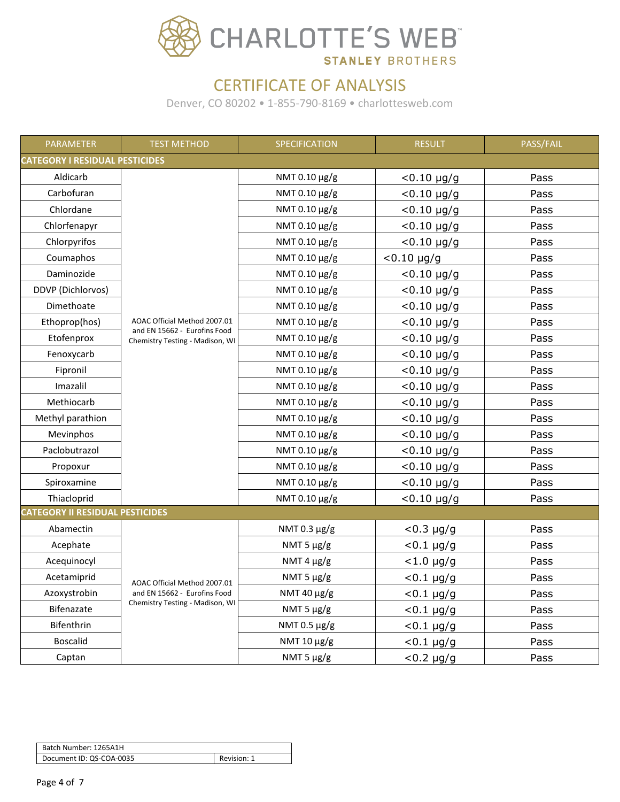

| <b>PARAMETER</b>                       | <b>TEST METHOD</b>                                              | SPECIFICATION   | <b>RESULT</b>   | <b>PASS/FAIL</b> |  |
|----------------------------------------|-----------------------------------------------------------------|-----------------|-----------------|------------------|--|
|                                        | <b>CATEGORY I RESIDUAL PESTICIDES</b>                           |                 |                 |                  |  |
| Aldicarb                               |                                                                 | NMT 0.10 µg/g   | $< 0.10$ µg/g   | Pass             |  |
| Carbofuran                             |                                                                 | NMT 0.10 µg/g   | $< 0.10$ µg/g   | Pass             |  |
| Chlordane                              |                                                                 | NMT 0.10 µg/g   | $< 0.10$ µg/g   | Pass             |  |
| Chlorfenapyr                           |                                                                 | NMT 0.10 µg/g   | $< 0.10$ µg/g   | Pass             |  |
| Chlorpyrifos                           |                                                                 | NMT 0.10 µg/g   | $< 0.10$ µg/g   | Pass             |  |
| Coumaphos                              |                                                                 | NMT 0.10 µg/g   | $< 0.10$ µg/g   | Pass             |  |
| Daminozide                             |                                                                 | NMT 0.10 µg/g   | $< 0.10$ µg/g   | Pass             |  |
| DDVP (Dichlorvos)                      |                                                                 | NMT 0.10 µg/g   | $< 0.10$ µg/g   | Pass             |  |
| Dimethoate                             |                                                                 | NMT 0.10 μg/g   | $< 0.10$ µg/g   | Pass             |  |
| Ethoprop(hos)                          | AOAC Official Method 2007.01                                    | NMT 0.10 µg/g   | $< 0.10$ µg/g   | Pass             |  |
| Etofenprox                             | and EN 15662 - Eurofins Food<br>Chemistry Testing - Madison, WI | NMT 0.10 µg/g   | $< 0.10$ µg/g   | Pass             |  |
| Fenoxycarb                             |                                                                 | NMT 0.10 µg/g   | $< 0.10$ µg/g   | Pass             |  |
| Fipronil                               |                                                                 | NMT 0.10 µg/g   | $< 0.10$ µg/g   | Pass             |  |
| Imazalil                               |                                                                 | NMT 0.10 μg/g   | $< 0.10$ µg/g   | Pass             |  |
| Methiocarb                             |                                                                 | NMT 0.10 µg/g   | $< 0.10$ µg/g   | Pass             |  |
| Methyl parathion                       |                                                                 | NMT 0.10 µg/g   | $< 0.10$ µg/g   | Pass             |  |
| Mevinphos                              |                                                                 | NMT 0.10 µg/g   | $< 0.10$ µg/g   | Pass             |  |
| Paclobutrazol                          |                                                                 | NMT 0.10 µg/g   | $< 0.10$ µg/g   | Pass             |  |
| Propoxur                               |                                                                 | NMT 0.10 µg/g   | $< 0.10$ µg/g   | Pass             |  |
| Spiroxamine                            |                                                                 | NMT 0.10 µg/g   | $< 0.10$ µg/g   | Pass             |  |
| Thiacloprid                            |                                                                 | NMT 0.10 μg/g   | $< 0.10$ µg/g   | Pass             |  |
| <b>CATEGORY II RESIDUAL PESTICIDES</b> |                                                                 |                 |                 |                  |  |
| Abamectin                              |                                                                 | NMT 0.3 μg/g    | $< 0.3 \mu g/g$ | Pass             |  |
| Acephate                               |                                                                 | NMT 5 $\mu$ g/g | $< 0.1 \mu g/g$ | Pass             |  |
| Acequinocyl                            |                                                                 | NMT 4 $\mu$ g/g | $< 1.0 \mu g/g$ | Pass             |  |
| Acetamiprid                            | AOAC Official Method 2007.01                                    | NMT 5 µg/g      | $< 0.1$ µg/g    | Pass             |  |
| Azoxystrobin                           | and EN 15662 - Eurofins Food                                    | NMT 40 μg/g     | $< 0.1 \mu g/g$ | Pass             |  |
| Bifenazate                             | Chemistry Testing - Madison, WI                                 | NMT 5 $\mu$ g/g | $< 0.1 \mu g/g$ | Pass             |  |
| Bifenthrin                             |                                                                 | NMT 0.5 µg/g    | $< 0.1 \mu g/g$ | Pass             |  |
| <b>Boscalid</b>                        |                                                                 | NMT 10 μg/g     | $< 0.1 \mu g/g$ | Pass             |  |
| Captan                                 |                                                                 | NMT 5 $\mu$ g/g | $< 0.2 \mu g/g$ | Pass             |  |

| Batch Number: 1265A1H    |             |
|--------------------------|-------------|
| Document ID: QS-COA-0035 | Revision: 1 |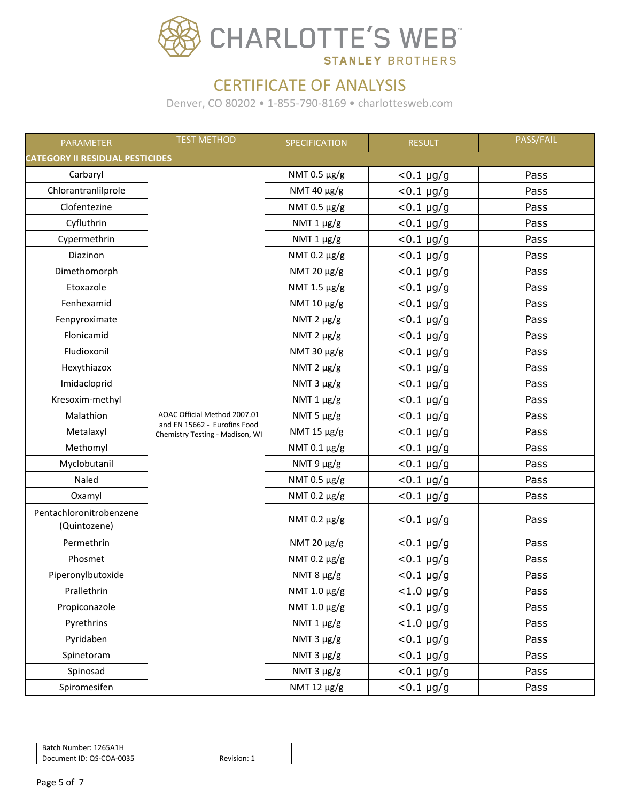

| PARAMETER                               | <b>TEST METHOD</b>                                              | SPECIFICATION   | <b>RESULT</b>   | PASS/FAIL |  |  |
|-----------------------------------------|-----------------------------------------------------------------|-----------------|-----------------|-----------|--|--|
|                                         | <b>CATEGORY II RESIDUAL PESTICIDES</b>                          |                 |                 |           |  |  |
| Carbaryl                                |                                                                 | NMT 0.5 µg/g    | $< 0.1 \mu g/g$ | Pass      |  |  |
| Chlorantranlilprole                     |                                                                 | NMT 40 μg/g     | $< 0.1 \mu g/g$ | Pass      |  |  |
| Clofentezine                            |                                                                 | NMT 0.5 µg/g    | $< 0.1 \mu g/g$ | Pass      |  |  |
| Cyfluthrin                              |                                                                 | NMT $1 \mu g/g$ | $< 0.1 \mu g/g$ | Pass      |  |  |
| Cypermethrin                            |                                                                 | NMT 1 µg/g      | $< 0.1 \mu g/g$ | Pass      |  |  |
| Diazinon                                |                                                                 | NMT 0.2 µg/g    | $< 0.1 \mu g/g$ | Pass      |  |  |
| Dimethomorph                            |                                                                 | NMT 20 μg/g     | $< 0.1 \mu g/g$ | Pass      |  |  |
| Etoxazole                               |                                                                 | NMT 1.5 µg/g    | $< 0.1 \mu g/g$ | Pass      |  |  |
| Fenhexamid                              |                                                                 | NMT 10 μg/g     | $< 0.1 \mu g/g$ | Pass      |  |  |
| Fenpyroximate                           |                                                                 | NMT $2 \mu g/g$ | $< 0.1 \mu g/g$ | Pass      |  |  |
| Flonicamid                              |                                                                 | NMT $2 \mu g/g$ | $< 0.1 \mu g/g$ | Pass      |  |  |
| Fludioxonil                             |                                                                 | NMT 30 µg/g     | $< 0.1 \mu g/g$ | Pass      |  |  |
| Hexythiazox                             |                                                                 | NMT $2 \mu g/g$ | $< 0.1 \mu g/g$ | Pass      |  |  |
| Imidacloprid                            |                                                                 | NMT 3 µg/g      | $< 0.1 \mu g/g$ | Pass      |  |  |
| Kresoxim-methyl                         |                                                                 | NMT $1 \mu g/g$ | $< 0.1 \mu g/g$ | Pass      |  |  |
| Malathion                               | AOAC Official Method 2007.01                                    | NMT 5 µg/g      | $< 0.1 \mu g/g$ | Pass      |  |  |
| Metalaxyl                               | and EN 15662 - Eurofins Food<br>Chemistry Testing - Madison, WI | NMT 15 µg/g     | $< 0.1 \mu g/g$ | Pass      |  |  |
| Methomyl                                |                                                                 | NMT 0.1 µg/g    | $< 0.1 \mu g/g$ | Pass      |  |  |
| Myclobutanil                            |                                                                 | NMT 9 µg/g      | $< 0.1 \mu g/g$ | Pass      |  |  |
| Naled                                   |                                                                 | NMT 0.5 µg/g    | $< 0.1 \mu g/g$ | Pass      |  |  |
| Oxamyl                                  |                                                                 | NMT 0.2 μg/g    | $< 0.1 \mu g/g$ | Pass      |  |  |
| Pentachloronitrobenzene<br>(Quintozene) |                                                                 | NMT 0.2 μg/g    | $< 0.1 \mu g/g$ | Pass      |  |  |
| Permethrin                              |                                                                 | NMT 20 μg/g     | $< 0.1 \mu g/g$ | Pass      |  |  |
| Phosmet                                 |                                                                 | NMT 0.2 µg/g    | $< 0.1 \mu g/g$ | Pass      |  |  |
| Piperonylbutoxide                       |                                                                 | NMT 8 µg/g      | $< 0.1 \mu g/g$ | Pass      |  |  |
| Prallethrin                             |                                                                 | NMT 1.0 μg/g    | $< 1.0 \mu g/g$ | Pass      |  |  |
| Propiconazole                           |                                                                 | NMT 1.0 µg/g    | $< 0.1 \mu g/g$ | Pass      |  |  |
| Pyrethrins                              |                                                                 | NMT 1 µg/g      | $<$ 1.0 µg/g    | Pass      |  |  |
| Pyridaben                               |                                                                 | NMT 3 µg/g      | $< 0.1 \mu g/g$ | Pass      |  |  |
| Spinetoram                              |                                                                 | NMT 3 µg/g      | $< 0.1 \mu g/g$ | Pass      |  |  |
| Spinosad                                |                                                                 | NMT 3 µg/g      | $< 0.1 \mu g/g$ | Pass      |  |  |
| Spiromesifen                            |                                                                 | NMT 12 µg/g     | $< 0.1 \mu g/g$ | Pass      |  |  |

| Batch Number: 1265A1H    |             |
|--------------------------|-------------|
| Document ID: QS-COA-0035 | Revision: 1 |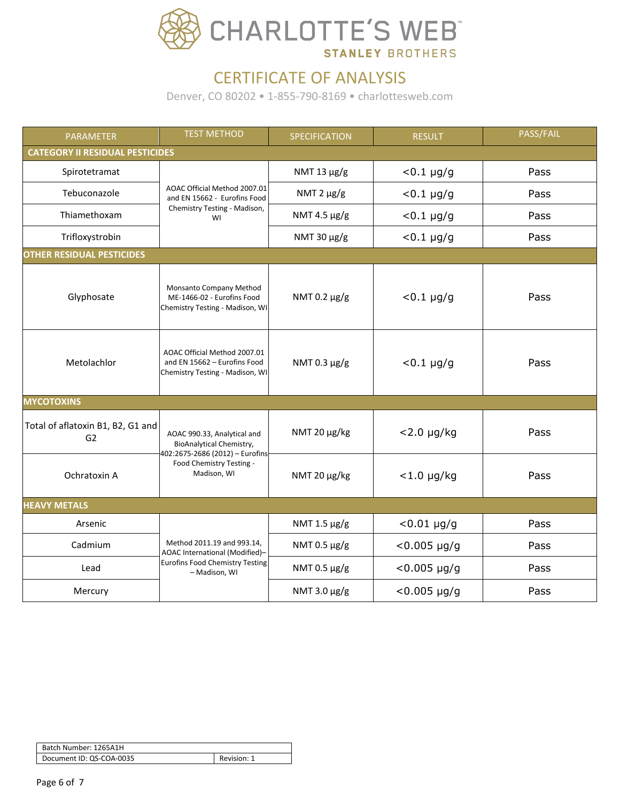

| <b>PARAMETER</b>                                    | <b>TEST METHOD</b>                                                                                | SPECIFICATION   | <b>RESULT</b>          | PASS/FAIL |
|-----------------------------------------------------|---------------------------------------------------------------------------------------------------|-----------------|------------------------|-----------|
| <b>CATEGORY II RESIDUAL PESTICIDES</b>              |                                                                                                   |                 |                        |           |
| Spirotetramat                                       |                                                                                                   | NMT 13 µg/g     | $< 0.1 \mu g/g$        | Pass      |
| Tebuconazole                                        | AOAC Official Method 2007.01<br>and EN 15662 - Eurofins Food                                      | NMT $2 \mu g/g$ | $< 0.1 \mu g/g$        | Pass      |
| Thiamethoxam                                        | Chemistry Testing - Madison,<br>WI                                                                | NMT 4.5 µg/g    | $< 0.1 \mu g/g$        | Pass      |
| Trifloxystrobin                                     |                                                                                                   | NMT 30 µg/g     | $< 0.1 \mu g/g$        | Pass      |
| <b>OTHER RESIDUAL PESTICIDES</b>                    |                                                                                                   |                 |                        |           |
| Glyphosate                                          | Monsanto Company Method<br>ME-1466-02 - Eurofins Food<br>Chemistry Testing - Madison, WI          | NMT 0.2 µg/g    | $< 0.1 \mu g/g$        | Pass      |
| Metolachlor                                         | AOAC Official Method 2007.01<br>and EN 15662 - Eurofins Food<br>Chemistry Testing - Madison, WI   | NMT 0.3 µg/g    | $< 0.1 \mu g/g$        | Pass      |
| <b>MYCOTOXINS</b>                                   |                                                                                                   |                 |                        |           |
| Total of aflatoxin B1, B2, G1 and<br>G <sub>2</sub> | AOAC 990.33, Analytical and<br><b>BioAnalytical Chemistry,</b><br>402:2675-2686 (2012) - Eurofins | NMT 20 µg/kg    | $<$ 2.0 µg/kg          | Pass      |
| Ochratoxin A                                        | Food Chemistry Testing -<br>Madison, WI                                                           | NMT 20 µg/kg    | $<$ 1.0 µg/kg          | Pass      |
| <b>HEAVY METALS</b>                                 |                                                                                                   |                 |                        |           |
| Arsenic                                             |                                                                                                   | NMT 1.5 µg/g    | $< 0.01 \mu g/g$       | Pass      |
| Cadmium                                             | Method 2011.19 and 993.14,<br>AOAC International (Modified)-                                      | NMT 0.5 µg/g    | $< 0.005 \mu g/g$      | Pass      |
| Lead                                                | <b>Eurofins Food Chemistry Testing</b><br>- Madison, WI                                           | NMT 0.5 µg/g    | $< 0.005 \mu g/g$      | Pass      |
| Mercury                                             |                                                                                                   | NMT 3.0 μg/g    | $< 0.005 \text{ µg/g}$ | Pass      |

| Batch Number: 1265A1H    |             |
|--------------------------|-------------|
| Document ID: QS-COA-0035 | Revision: 1 |